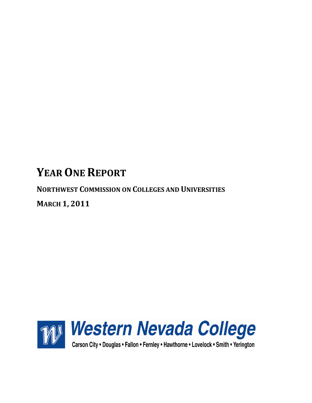# **YEAR ONE REPORT**

**NORTHWEST COMMISSION ON COLLEGES AND UNIVERSITIES**

**MARCH 1, 2011**

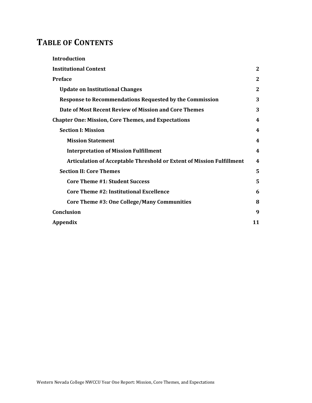## **TABLE OF CONTENTS**

| <b>Introduction</b>                                                          |                  |
|------------------------------------------------------------------------------|------------------|
| <b>Institutional Context</b>                                                 | $\mathbf{2}$     |
| <b>Preface</b>                                                               | 2                |
| <b>Update on Institutional Changes</b>                                       | 2                |
| <b>Response to Recommendations Requested by the Commission</b>               | 3                |
| Date of Most Recent Review of Mission and Core Themes                        | 3                |
| <b>Chapter One: Mission, Core Themes, and Expectations</b>                   | 4                |
| <b>Section I: Mission</b>                                                    | 4                |
| <b>Mission Statement</b>                                                     | 4                |
| <b>Interpretation of Mission Fulfillment</b>                                 | $\boldsymbol{4}$ |
| <b>Articulation of Acceptable Threshold or Extent of Mission Fulfillment</b> | $\boldsymbol{4}$ |
| <b>Section II: Core Themes</b>                                               | 5                |
| <b>Core Theme #1: Student Success</b>                                        | 5                |
| <b>Core Theme #2: Institutional Excellence</b>                               | 6                |
| Core Theme #3: One College/Many Communities                                  | 8                |
| Conclusion                                                                   | 9                |
| Appendix                                                                     | 11               |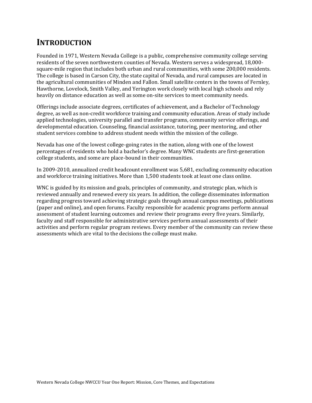## **INTRODUCTION**

Founded in 1971, Western Nevada College is a public, comprehensive community college serving residents of the seven northwestern counties of Nevada. Western serves a widespread, 18,000 square-mile region that includes both urban and rural communities, with some 200,000 residents. The college is based in Carson City, the state capital of Nevada, and rural campuses are located in the agricultural communities of Minden and Fallon. Small satellite centers in the towns of Fernley, Hawthorne, Lovelock, Smith Valley, and Yerington work closely with local high schools and rely heavily on distance education as well as some on-site services to meet community needs.

Offerings include associate degrees, certificates of achievement, and a Bachelor of Technology degree, as well as non-credit workforce training and community education. Areas of study include applied technologies, university parallel and transfer programs, community service offerings, and developmental education. Counseling, financial assistance, tutoring, peer mentoring, and other student services combine to address student needs within the mission of the college.

Nevada has one of the lowest college-going rates in the nation, along with one of the lowest percentages of residents who hold a bachelor's degree. Many WNC students are first-generation college students, and some are place-bound in their communities.

In 2009-2010, annualized credit headcount enrollment was 5,681, excluding community education and workforce training initiatives. More than 1,500 students took at least one class online.

WNC is guided by its mission and goals, principles of community, and strategic plan, which is reviewed annually and renewed every six years. In addition, the college disseminates information regarding progress toward achieving strategic goals through annual campus meetings, publications (paper and online), and open forums. Faculty responsible for academic programs perform annual assessment of student learning outcomes and review their programs every five years. Similarly, faculty and staff responsible for administrative services perform annual assessments of their activities and perform regular program reviews. Every member of the community can review these assessments which are vital to the decisions the college must make.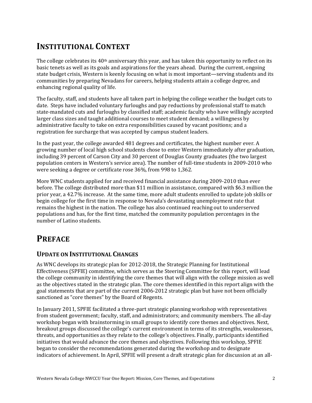## **INSTITUTIONAL CONTEXT**

The college celebrates its  $40<sup>th</sup>$  anniversary this year, and has taken this opportunity to reflect on its basic tenets as well as its goals and aspirations for the years ahead. During the current, ongoing state budget crisis, Western is keenly focusing on what is most important—serving students and its communities by preparing Nevadans for careers, helping students attain a college degree, and enhancing regional quality of life.

The faculty, staff, and students have all taken part in helping the college weather the budget cuts to date. Steps have included voluntary furloughs and pay reductions by professional staff to match state-mandated cuts and furloughs by classified staff; academic faculty who have willingly accepted larger class sizes and taught additional courses to meet student demand; a willingness by administrative faculty to take on extra responsibilities caused by vacant positions; and a registration fee surcharge that was accepted by campus student leaders.

In the past year, the college awarded 481 degrees and certificates, the highest number ever. A growing number of local high school students chose to enter Western immediately after graduation, including 39 percent of Carson City and 30 percent of Douglas County graduates (the two largest population centers in Western's service area). The number of full-time students in 2009-2010 who were seeking a degree or certificate rose 36%, from 998 to 1,362.

More WNC students applied for and received financial assistance during 2009-2010 than ever before. The college distributed more than \$11 million in assistance, compared with \$6.3 million the prior year, a 42.7% increase. At the same time, more adult students enrolled to update job skills or begin college for the first time in response to Nevada's devastating unemployment rate that remains the highest in the nation. The college has also continued reaching out to underserved populations and has, for the first time, matched the community population percentages in the number of Latino students.

## **PREFACE**

### **UPDATE ON INSTITUTIONAL CHANGES**

As WNC develops its strategic plan for 2012-2018, the Strategic Planning for Institutional Effectiveness (SPFIE) committee, which serves as the Steering Committee for this report, will lead the college community in identifying the core themes that will align with the college mission as well as the objectives stated in the strategic plan. The core themes identified in this report align with the goal statements that are part of the current 2006-2012 strategic plan but have not been officially sanctioned as "core themes" by the Board of Regents.

In January 2011, SPFIE facilitated a three-part strategic planning workshop with representatives from student government; faculty, staff, and administrators; and community members. The all-day workshop began with brainstorming in small groups to identify core themes and objectives. Next, breakout groups discussed the college's current environment in terms of its strengths, weaknesses, threats, and opportunities as they relate to the college's objectives. Finally, participants identified initiatives that would advance the core themes and objectives. Following this workshop, SPFIE began to consider the recommendations generated during the workshop and to designate indicators of achievement. In April, SPFIE will present a draft strategic plan for discussion at an all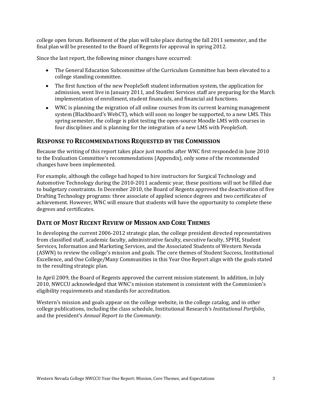college open forum. Refinement of the plan will take place during the fall 2011 semester, and the final plan will be presented to the Board of Regents for approval in spring 2012.

Since the last report, the following minor changes have occurred:

- The General Education Subcommittee of the Curriculum Committee has been elevated to a college standing committee.
- The first function of the new PeopleSoft student information system, the application for admission, went live in January 2011, and Student Services staff are preparing for the March implementation of enrollment, student financials, and financial aid functions.
- WNC is planning the migration of all online courses from its current learning management system (Blackboard's WebCT), which will soon no longer be supported, to a new LMS. This spring semester, the college is pilot testing the open-source Moodle LMS with courses in four disciplines and is planning for the integration of a new LMS with PeopleSoft.

#### **RESPONSE TO RECOMMENDATIONS REQUESTED BY THE COMMISSION**

Because the writing of this report takes place just months after WNC first responded in June 2010 to the Evaluation Committee's recommendations (Appendix), only some of the recommended changes have been implemented.

For example, although the college had hoped to hire instructors for Surgical Technology and Automotive Technology during the 2010-2011 academic year, these positions will not be filled due to budgetary constraints. In December 2010, the Board of Regents approved the deactivation of five Drafting Technology programs: three associate of applied science degrees and two certificates of achievement. However, WNC will ensure that students will have the opportunity to complete these degrees and certificates.

#### **DATE OF MOST RECENT REVIEW OF MISSION AND CORE THEMES**

In developing the current 2006-2012 strategic plan, the college president directed representatives from classified staff, academic faculty, administrative faculty, executive faculty, SPFIE, Student Services, Information and Marketing Services, and the Associated Students of Western Nevada (ASWN) to review the college's mission and goals. The core themes of Student Success, Institutional Excellence, and One College/Many Communities in this Year One Report align with the goals stated in the resulting strategic plan.

In April 2009, the Board of Regents approved the current mission statement. In addition, in July 2010, NWCCU acknowledged that WNC's mission statement is consistent with the Commission's eligibility requirements and standards for accreditation.

Western's mission and goals appear on the college website, in the college catalog, and in other college publications, including the class schedule, Institutional Research's *Institutional Portfolio*, and the president's *Annual Report to the Community*.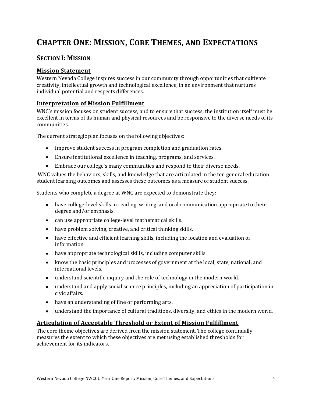## **CHAPTER ONE: MISSION, CORE THEMES, AND EXPECTATIONS**

### **SECTION I: MISSION**

#### **Mission Statement**

Western Nevada College inspires success in our community through opportunities that cultivate creativity, intellectual growth and technological excellence, in an environment that nurtures individual potential and respects differences.

#### **Interpretation of Mission Fulfillment**

WNC's mission focuses on student success, and to ensure that success, the institution itself must be excellent in terms of its human and physical resources and be responsive to the diverse needs of its communities.

The current strategic plan focuses on the following objectives:

- Improve student success in program completion and graduation rates.
- Ensure institutional excellence in teaching, programs, and services.
- Embrace our college's many communities and respond to their diverse needs.

WNC values the behaviors, skills, and knowledge that are articulated in the ten general education student learning outcomes and assesses these outcomes as a measure of student success.

Students who complete a degree at WNC are expected to demonstrate they:

- have college-level skills in reading, writing, and oral communication appropriate to their degree and/or emphasis.
- can use appropriate college-level mathematical skills.
- have problem solving, creative, and critical thinking skills.
- have effective and efficient learning skills, including the location and evaluation of information.
- have appropriate technological skills, including computer skills.
- know the basic principles and processes of government at the local, state, national, and international levels.
- understand scientific inquiry and the role of technology in the modern world.
- understand and apply social science principles, including an appreciation of participation in civic affairs.
- have an understanding of fine or performing arts.
- understand the importance of cultural traditions, diversity, and ethics in the modern world.

#### **Articulation of Acceptable Threshold or Extent of Mission Fulfillment**

The core theme objectives are derived from the mission statement. The college continually measures the extent to which these objectives are met using established thresholds for achievement for its indicators.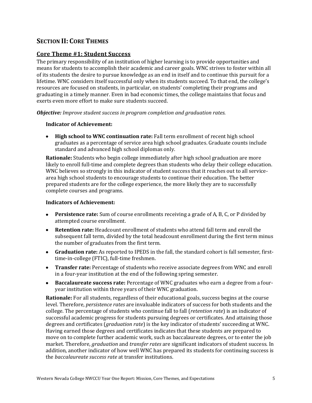### **SECTION II: CORE THEMES**

#### **Core Theme #1: Student Success**

The primary responsibility of an institution of higher learning is to provide opportunities and means for students to accomplish their academic and career goals. WNC strives to foster within all of its students the desire to pursue knowledge as an end in itself and to continue this pursuit for a lifetime. WNC considers itself successful only when its students succeed. To that end, the college's resources are focused on students, in particular, on students' completing their programs and graduating in a timely manner. Even in bad economic times, the college maintains that focus and exerts even more effort to make sure students succeed.

*Objective: Improve student success in program completion and graduation rates.*

#### **Indicator of Achievement:**

**High school to WNC continuation rate:** Fall term enrollment of recent high school graduates as a percentage of service area high school graduates. Graduate counts include standard and advanced high school diplomas only.

**Rationale:** Students who begin college immediately after high school graduation are more likely to enroll full-time and complete degrees than students who delay their college education. WNC believes so strongly in this indicator of student success that it reaches out to all servicearea high school students to encourage students to continue their education. The better prepared students are for the college experience, the more likely they are to successfully complete courses and programs.

#### **Indicators of Achievement:**

- **Persistence rate:** Sum of course enrollments receiving a grade of A, B, C, or P divided by  $\bullet$ attempted course enrollment.
- **Retention rate:** Headcount enrollment of students who attend fall term and enroll the  $\bullet$ subsequent fall term, divided by the total headcount enrollment during the first term minus the number of graduates from the first term.
- **Graduation rate:** As reported to IPEDS in the fall, the standard cohort is fall semester, firsttime-in-college (FTIC), full-time freshmen.
- **Transfer rate:** Percentage of students who receive associate degrees from WNC and enroll in a four-year institution at the end of the following spring semester.
- **Baccalaureate success rate:** Percentage of WNC graduates who earn a degree from a fouryear institution within three years of their WNC graduation.

**Rationale:** For all students, regardless of their educational goals, success begins at the course level. Therefore, *persistence rates* are invaluable indicators of success for both students and the college. The percentage of students who continue fall to fall (*retention rate*) is an indicator of successful academic progress for students pursuing degrees or certificates. And attaining those degrees and certificates (*graduation rate*) is the key indicator of students' succeeding at WNC. Having earned those degrees and certificates indicates that these students are prepared to move on to complete further academic work, such as baccalaureate degrees, or to enter the job market. Therefore, *graduation* and *transfer rates* are significant indicators of student success. In addition, another indicator of how well WNC has prepared its students for continuing success is the *baccalaureate success rate* at transfer institutions.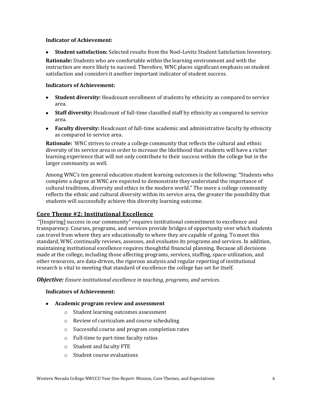#### **Indicator of Achievement:**

**Student satisfaction:** Selected results from the Noel-Levitz Student Satisfaction Inventory.

**Rationale:** Students who are comfortable within the learning environment and with the instruction are more likely to succeed. Therefore, WNC places significant emphasis on student satisfaction and considers it another important indicator of student success.

#### **Indicators of Achievement:**

- **Student diversity:** Headcount enrollment of students by ethnicity as compared to service area.
- **Staff diversity:** Headcount of full-time classified staff by ethnicity as compared to service area.
- **Faculty diversity:** Headcount of full-time academic and administrative faculty by ethnicity as compared to service area.

**Rationale:** WNC strives to create a college community that reflects the cultural and ethnic diversity of its service area in order to increase the likelihood that students will have a richer learning experience that will not only contribute to their success within the college but in the larger community as well.

Among WNC's ten general education student learning outcomes is the following: "Students who complete a degree at WNC are expected to demonstrate they understand the importance of cultural traditions, diversity and ethics in the modern world." The more a college community reflects the ethnic and cultural diversity within its service area, the greater the possibility that students will successfully achieve this diversity learning outcome.

#### **Core Theme #2: Institutional Excellence**

"[Inspiring] success in our community" requires institutional commitment to excellence and transparency. Courses, programs, and services provide bridges of opportunity over which students can travel from where they are educationally to where they are capable of going. To meet this standard, WNC continually reviews, assesses, and evaluates its programs and services. In addition, maintaining institutional excellence requires thoughtful financial planning. Because all decisions made at the college, including those affecting programs, services, staffing, space-utilization, and other resources, are data-driven, the rigorous analysis and regular reporting of institutional research is vital to meeting that standard of excellence the college has set for itself.

*Objective: Ensure institutional excellence in teaching, programs, and services.*

#### **Indicators of Achievement:**

- **Academic program review and assessment**
	- o Student learning outcomes assessment
	- o Review of curriculum and course scheduling
	- o Successful course and program completion rates
	- o Full-time to part-time faculty ratios
	- o Student and faculty FTE
	- o Student course evaluations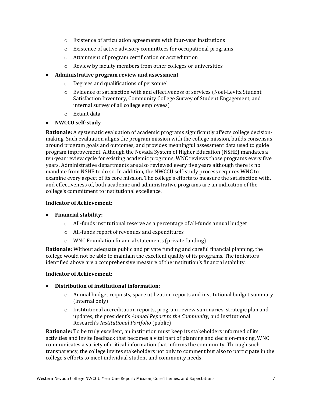- o Existence of articulation agreements with four-year institutions
- o Existence of active advisory committees for occupational programs
- o Attainment of program certification or accreditation
- o Review by faculty members from other colleges or universities
- **Administrative program review and assessment**
	- o Degrees and qualifications of personnel
	- o Evidence of satisfaction with and effectiveness of services (Noel-Levitz Student Satisfaction Inventory, Community College Survey of Student Engagement, and internal survey of all college employees)
	- o Extant data
- $\bullet$ **NWCCU self-study**

**Rationale:** A systematic evaluation of academic programs significantly affects college decisionmaking. Such evaluation aligns the program mission with the college mission, builds consensus around program goals and outcomes, and provides meaningful assessment data used to guide program improvement. Although the Nevada System of Higher Education (NSHE) mandates a ten-year review cycle for existing academic programs, WNC reviews those programs every five years. Administrative departments are also reviewed every five years although there is no mandate from NSHE to do so. In addition, the NWCCU self-study process requires WNC to examine every aspect of its core mission. The college's efforts to measure the satisfaction with, and effectiveness of, both academic and administrative programs are an indication of the college's commitment to institutional excellence.

#### **Indicator of Achievement:**

#### **Financial stability:**

- o All-funds institutional reserve as a percentage of all-funds annual budget
- o All-funds report of revenues and expenditures
- o WNC Foundation financial statements (private funding)

**Rationale:** Without adequate public and private funding and careful financial planning, the college would not be able to maintain the excellent quality of its programs. The indicators identified above are a comprehensive measure of the institution's financial stability.

#### **Indicator of Achievement:**

#### **Distribution of institutional information:**

- $\circ$  Annual budget requests, space utilization reports and institutional budget summary (internal only)
- o Institutional accreditation reports, program review summaries, strategic plan and updates, the president's *Annual Report to the Community*, and Institutional Research's *Institutional Portfolio* (public)

**Rationale:** To be truly excellent, an institution must keep its stakeholders informed of its activities and invite feedback that becomes a vital part of planning and decision-making. WNC communicates a variety of critical information that informs the community. Through such transparency, the college invites stakeholders not only to comment but also to participate in the college's efforts to meet individual student and community needs.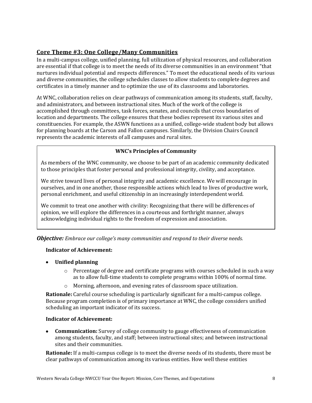### **Core Theme #3: One College/Many Communities**

In a multi-campus college, unified planning, full utilization of physical resources, and collaboration are essential if that college is to meet the needs of its diverse communities in an environment "that nurtures individual potential and respects differences." To meet the educational needs of its various and diverse communities, the college schedules classes to allow students to complete degrees and certificates in a timely manner and to optimize the use of its classrooms and laboratories.

At WNC, collaboration relies on clear pathways of communication among its students, staff, faculty, and administrators, and between instructional sites. Much of the work of the college is accomplished through committees, task forces, senates, and councils that cross boundaries of location and departments. The college ensures that these bodies represent its various sites and constituencies. For example, the ASWN functions as a unified, college-wide student body but allows for planning boards at the Carson and Fallon campuses. Similarly, the Division Chairs Council represents the academic interests of all campuses and rural sites.

#### **WNC's Principles of Community**

As members of the WNC community, we choose to be part of an academic community dedicated to those principles that foster personal and professional integrity, civility, and acceptance.

We strive toward lives of personal integrity and academic excellence. We will encourage in ourselves, and in one another, those responsible actions which lead to lives of productive work, personal enrichment, and useful citizenship in an increasingly interdependent world.

We commit to treat one another with civility: Recognizing that there will be differences of opinion, we will explore the differences in a courteous and forthright manner, always acknowledging individual rights to the freedom of expression and association.

*Objective: Embrace our college's many communities and respond to their diverse needs.*

#### **Indicator of Achievement:**

- **Unified planning**
	- $\circ$  Percentage of degree and certificate programs with courses scheduled in such a way as to allow full-time students to complete programs within 100% of normal time.
	- o Morning, afternoon, and evening rates of classroom space utilization.

**Rationale:** Careful course scheduling is particularly significant for a multi-campus college. Because program completion is of primary importance at WNC, the college considers unified scheduling an important indicator of its success.

#### **Indicator of Achievement:**

 $\bullet$ **Communication:** Survey of college community to gauge effectiveness of communication among students, faculty, and staff; between instructional sites; and between instructional sites and their communities.

**Rationale:** If a multi-campus college is to meet the diverse needs of its students, there must be clear pathways of communication among its various entities. How well these entities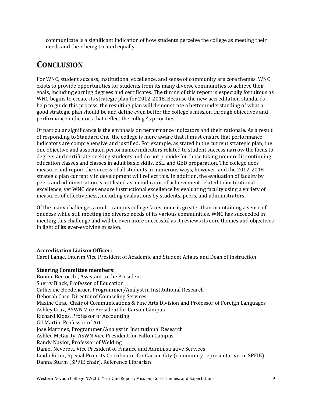communicate is a significant indication of how students perceive the college as meeting their needs and their being treated equally.

## **CONCLUSION**

For WNC, student success, institutional excellence, and sense of community are core themes. WNC exists to provide opportunities for students from its many diverse communities to achieve their goals, including earning degrees and certificates. The timing of this report is especially fortuitous as WNC begins to create its strategic plan for 2012-2018. Because the new accreditation standards help to guide this process, the resulting plan will demonstrate a better understanding of what a good strategic plan should be and define even better the college's mission through objectives and performance indicators that reflect the college's priorities.

Of particular significance is the emphasis on performance indicators and their rationale. As a result of responding to Standard One, the college is more aware that it must ensure that performance indicators are comprehensive and justified. For example, as stated in the current strategic plan, the one objective and associated performance indicators related to student success narrow the focus to degree- and certificate-seeking students and do not provide for those taking non-credit continuing education classes and classes in adult basic skills, ESL, and GED preparation. The college does measure and report the success of all students in numerous ways, however, and the 2012-2018 strategic plan currently in development will reflect this. In addition, the evaluation of faculty by peers and administration is not listed as an indicator of achievement related to institutional excellence, yet WNC does ensure instructional excellence by evaluating faculty using a variety of measures of effectiveness, including evaluations by students, peers, and administrators.

Of the many challenges a multi-campus college faces, none is greater than maintaining a sense of oneness while still meeting the diverse needs of its various communities. WNC has succeeded in meeting this challenge and will be even more successful as it reviews its core themes and objectives in light of its ever-evolving mission.

#### **Accreditation Liaison Officer:**

Carol Lange, Interim Vice President of Academic and Student Affairs and Dean of Instruction

#### **Steering Committee members:**

Bonnie Bertocchi, Assistant to the President Sherry Black, Professor of Education Catherine Boedenauer, Programmer/Analyst in Institutional Research Deborah Case, Director of Counseling Services Maxine Cirac, Chair of Communications & Fine Arts Division and Professor of Foreign Languages Ashley Cruz, ASWN Vice President for Carson Campus Richard Kloes, Professor of Accounting Gil Martin, Professor of Art Jose Martinez, Programmer/Analyst in Institutional Research Ashlee McGarity, ASWN Vice President for Fallon Campus Randy Naylor, Professor of Welding Daniel Neverett, Vice President of Finance and Administrative Services Linda Ritter, Special Projects Coordinator for Carson City (community representative on SPFIE) Danna Sturm (SPFIE chair), Reference Librarian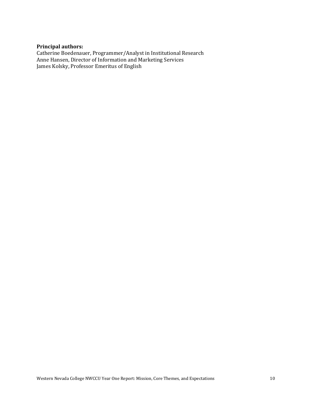### **Principal authors:**

Catherine Boedenauer, Programmer/Analyst in Institutional Research Anne Hansen, Director of Information and Marketing Services James Kolsky, Professor Emeritus of English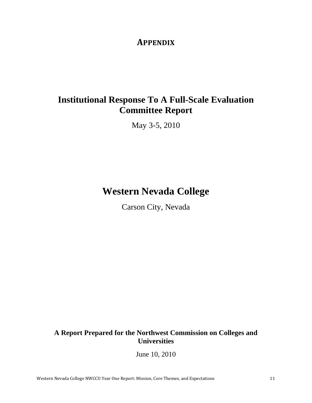### **APPENDIX**

## **Institutional Response To A Full-Scale Evaluation Committee Report**

May 3-5, 2010

## **Western Nevada College**

Carson City, Nevada

### **A Report Prepared for the Northwest Commission on Colleges and Universities**

June 10, 2010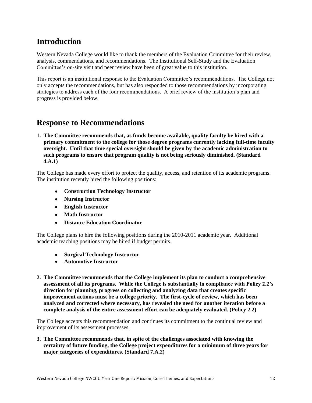### **Introduction**

Western Nevada College would like to thank the members of the Evaluation Committee for their review, analysis, commendations, and recommendations. The Institutional Self-Study and the Evaluation Committee's on-site visit and peer review have been of great value to this institution.

This report is an institutional response to the Evaluation Committee's recommendations. The College not only accepts the recommendations, but has also responded to those recommendations by incorporating strategies to address each of the four recommendations. A brief review of the institution's plan and progress is provided below.

### **Response to Recommendations**

**1. The Committee recommends that, as funds become available, quality faculty be hired with a primary commitment to the college for those degree programs currently lacking full-time faculty oversight. Until that time special oversight should be given by the academic administration to such programs to ensure that program quality is not being seriously diminished. (Standard 4.A.1)**

The College has made every effort to protect the quality, access, and retention of its academic programs. The institution recently hired the following positions:

- **Construction Technology Instructor**
- **Nursing Instructor**
- **English Instructor**
- **Math Instructor**
- **Distance Education Coordinator**

The College plans to hire the following positions during the 2010-2011 academic year. Additional academic teaching positions may be hired if budget permits.

- **Surgical Technology Instructor**
- **Automotive Instructor**
- **2. The Committee recommends that the College implement its plan to conduct a comprehensive assessment of all its programs. While the College is substantially in compliance with Policy 2.2's direction for planning, progress on collecting and analyzing data that creates specific improvement actions must be a college priority. The first-cycle of review, which has been analyzed and corrected where necessary, has revealed the need for another iteration before a complete analysis of the entire assessment effort can be adequately evaluated. (Policy 2.2)**

The College accepts this recommendation and continues its commitment to the continual review and improvement of its assessment processes.

**3. The Committee recommends that, in spite of the challenges associated with knowing the certainty of future funding, the College project expenditures for a minimum of three years for major categories of expenditures. (Standard 7.A.2)**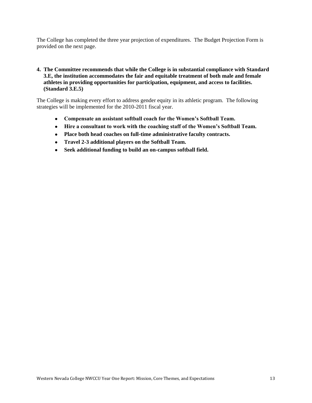The College has completed the three year projection of expenditures. The Budget Projection Form is provided on the next page.

#### **4. The Committee recommends that while the College is in substantial compliance with Standard 3.E, the institution accommodates the fair and equitable treatment of both male and female athletes in providing opportunities for participation, equipment, and access to facilities. (Standard 3.E.5)**

The College is making every effort to address gender equity in its athletic program. The following strategies will be implemented for the 2010-2011 fiscal year.

- **Compensate an assistant softball coach for the Women's Softball Team.**
- **Hire a consultant to work with the coaching staff of the Women's Softball Team.**
- **Place both head coaches on full-time administrative faculty contracts.**
- **Travel 2-3 additional players on the Softball Team.**
- **Seek additional funding to build an on-campus softball field.**